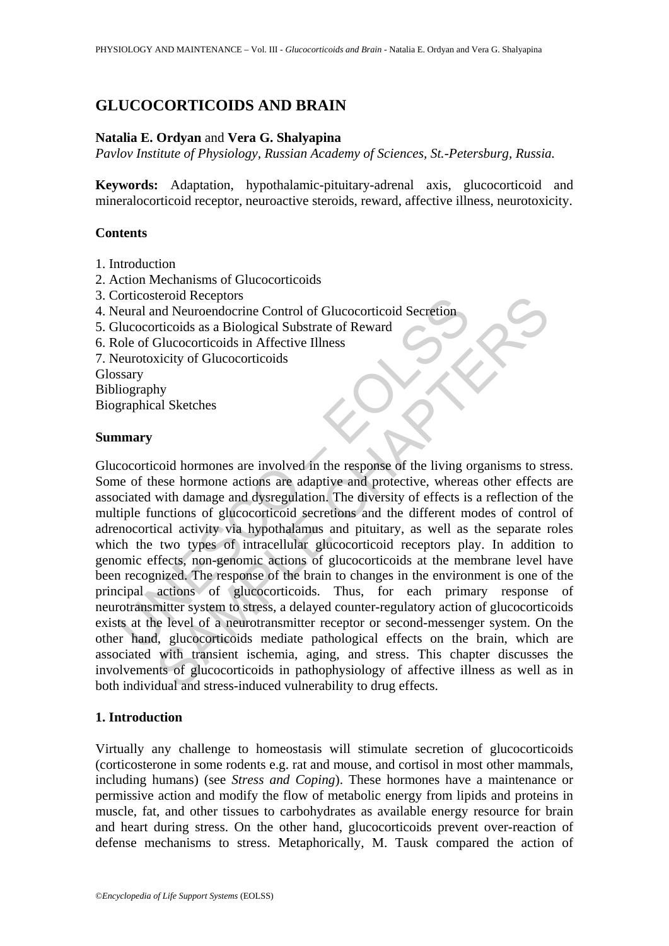# **GLUCOCORTICOIDS AND BRAIN**

#### **Natalia E. Ordyan** and **Vera G. Shalyapina**

*Pavlov Institute of Physiology, Russian Academy of Sciences, St.-Petersburg, Russia.* 

**Keywords:** Adaptation, hypothalamic-pituitary-adrenal axis, glucocorticoid and mineralocorticoid receptor, neuroactive steroids, reward, affective illness, neurotoxicity.

#### **Contents**

- 1. Introduction
- 2. Action Mechanisms of Glucocorticoids
- 3. Corticosteroid Receptors
- 4. Neural and Neuroendocrine Control of Glucocorticoid Secretion
- 5. Glucocorticoids as a Biological Substrate of Reward
- 6. Role of Glucocorticoids in Affective Illness
- 7. Neurotoxicity of Glucocorticoids

Glossary

Bibliography

Biographical Sketches

#### **Summary**

orticosateroid Receptors<br>
cleural and Neuroendocrine Control of Glucocorticoid Secretion<br>
elucocorticoids as a Biological Substrate of Reward<br>
ole of Glucocorticoids in Affective Illness<br>
seary<br>
liography<br>
graphical Sketch erolal Receptors<br>
and Neurondocrine Control of Glucocorticoid Secretion<br>
riticoids as a Biological Substrate of Reward<br>
Glucocorticoids in Affective Illness<br>
xicity of Glucocorticoids<br>
hy<br>
hy<br>
al Sketches<br>
cord hormones ar Glucocorticoid hormones are involved in the response of the living organisms to stress. Some of these hormone actions are adaptive and protective, whereas other effects are associated with damage and dysregulation. The diversity of effects is a reflection of the multiple functions of glucocorticoid secretions and the different modes of control of adrenocortical activity via hypothalamus and pituitary, as well as the separate roles which the two types of intracellular glucocorticoid receptors play. In addition to genomic effects, non-genomic actions of glucocorticoids at the membrane level have been recognized. The response of the brain to changes in the environment is one of the principal actions of glucocorticoids. Thus, for each primary response of neurotransmitter system to stress, a delayed counter-regulatory action of glucocorticoids exists at the level of a neurotransmitter receptor or second-messenger system. On the other hand, glucocorticoids mediate pathological effects on the brain, which are associated with transient ischemia, aging, and stress. This chapter discusses the involvements of glucocorticoids in pathophysiology of affective illness as well as in both individual and stress-induced vulnerability to drug effects.

## **1. Introduction**

Virtually any challenge to homeostasis will stimulate secretion of glucocorticoids (corticosterone in some rodents e.g. rat and mouse, and cortisol in most other mammals, including humans) (see *Stress and Coping*). These hormones have a maintenance or permissive action and modify the flow of metabolic energy from lipids and proteins in muscle, fat, and other tissues to carbohydrates as available energy resource for brain and heart during stress. On the other hand, glucocorticoids prevent over-reaction of defense mechanisms to stress. Metaphorically, M. Tausk compared the action of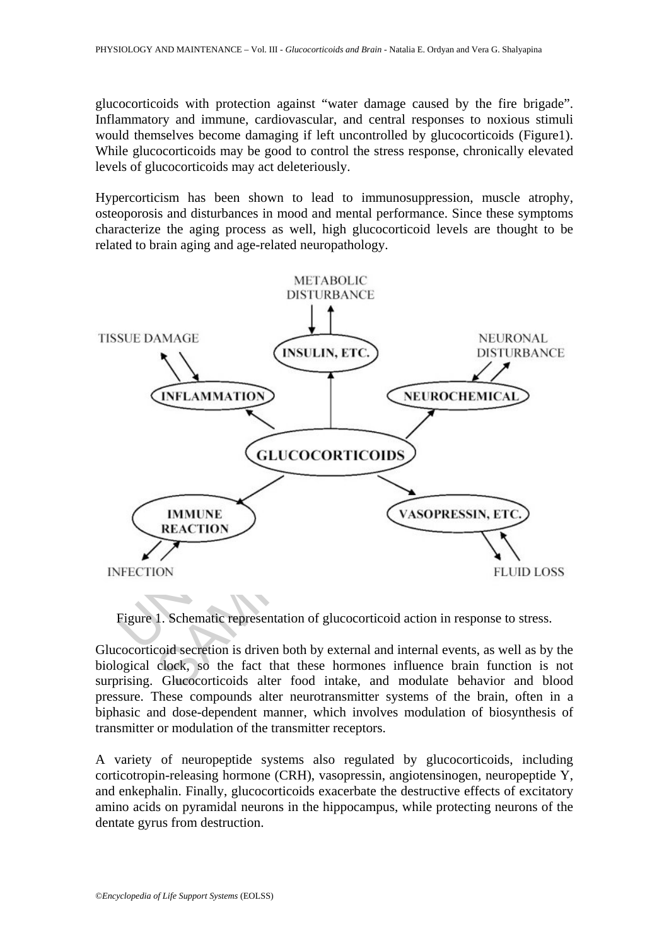glucocorticoids with protection against "water damage caused by the fire brigade". Inflammatory and immune, cardiovascular, and central responses to noxious stimuli would themselves become damaging if left uncontrolled by glucocorticoids (Figure1). While glucocorticoids may be good to control the stress response, chronically elevated levels of glucocorticoids may act deleteriously.

Hypercorticism has been shown to lead to immunosuppression, muscle atrophy, osteoporosis and disturbances in mood and mental performance. Since these symptoms characterize the aging process as well, high glucocorticoid levels are thought to be related to brain aging and age-related neuropathology.



Figure 1. Schematic representation of glucocorticoid action in response to stress.

Glucocorticoid secretion is driven both by external and internal events, as well as by the biological clock, so the fact that these hormones influence brain function is not surprising. Glucocorticoids alter food intake, and modulate behavior and blood pressure. These compounds alter neurotransmitter systems of the brain, often in a biphasic and dose-dependent manner, which involves modulation of biosynthesis of transmitter or modulation of the transmitter receptors.

A variety of neuropeptide systems also regulated by glucocorticoids, including corticotropin-releasing hormone (CRH), vasopressin, angiotensinogen, neuropeptide Y, and enkephalin. Finally, glucocorticoids exacerbate the destructive effects of excitatory amino acids on pyramidal neurons in the hippocampus, while protecting neurons of the dentate gyrus from destruction.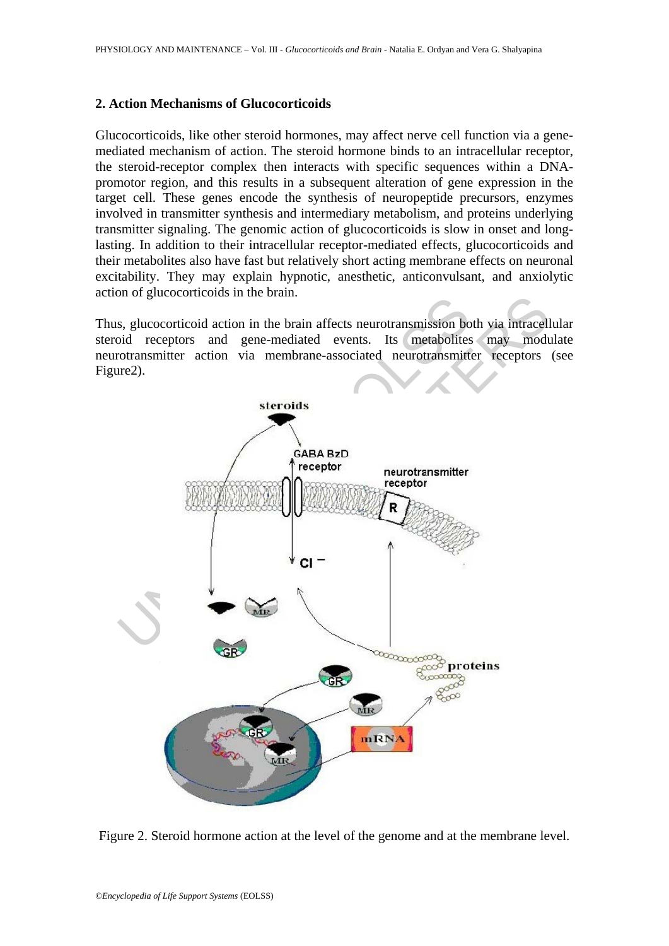#### **2. Action Mechanisms of Glucocorticoids**

Glucocorticoids, like other steroid hormones, may affect nerve cell function via a genemediated mechanism of action. The steroid hormone binds to an intracellular receptor, the steroid-receptor complex then interacts with specific sequences within a DNApromotor region, and this results in a subsequent alteration of gene expression in the target cell. These genes encode the synthesis of neuropeptide precursors, enzymes involved in transmitter synthesis and intermediary metabolism, and proteins underlying transmitter signaling. The genomic action of glucocorticoids is slow in onset and longlasting. In addition to their intracellular receptor-mediated effects, glucocorticoids and their metabolites also have fast but relatively short acting membrane effects on neuronal excitability. They may explain hypnotic, anesthetic, anticonvulsant, and anxiolytic action of glucocorticoids in the brain.

Thus, glucocorticoid action in the brain affects neurotransmission both via intracellular steroid receptors and gene-mediated events. Its metabolites may modulate neurotransmitter action via membrane-associated neurotransmitter receptors (see Figure2).



Figure 2. Steroid hormone action at the level of the genome and at the membrane level.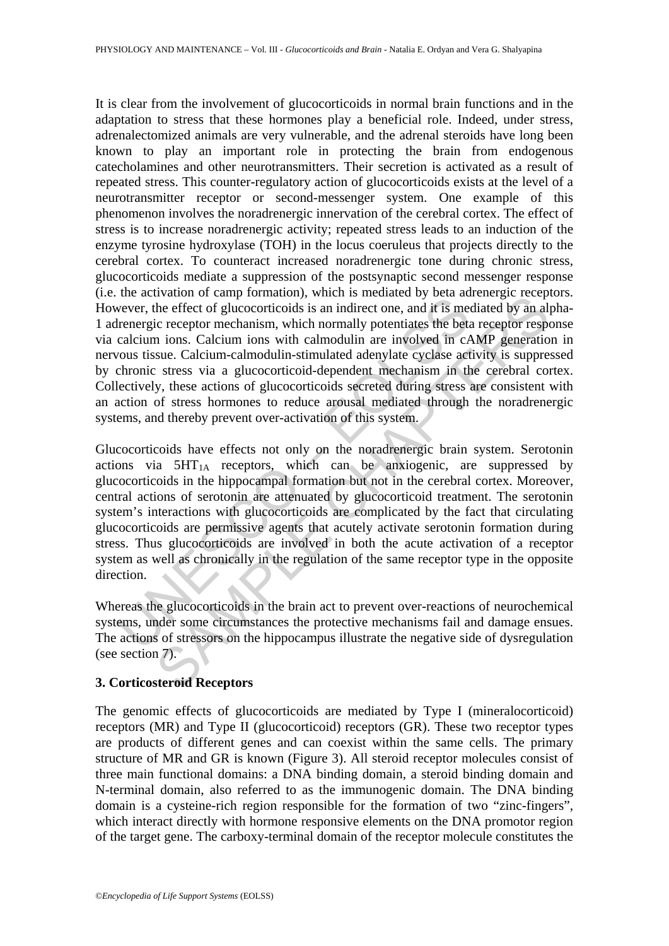It is clear from the involvement of glucocorticoids in normal brain functions and in the adaptation to stress that these hormones play a beneficial role. Indeed, under stress, adrenalectomized animals are very vulnerable, and the adrenal steroids have long been known to play an important role in protecting the brain from endogenous catecholamines and other neurotransmitters. Their secretion is activated as a result of repeated stress. This counter-regulatory action of glucocorticoids exists at the level of a neurotransmitter receptor or second-messenger system. One example of this phenomenon involves the noradrenergic innervation of the cerebral cortex. The effect of stress is to increase noradrenergic activity; repeated stress leads to an induction of the enzyme tyrosine hydroxylase (TOH) in the locus coeruleus that projects directly to the cerebral cortex. To counteract increased noradrenergic tone during chronic stress, glucocorticoids mediate a suppression of the postsynaptic second messenger response (i.e. the activation of camp formation), which is mediated by beta adrenergic receptors. However, the effect of glucocorticoids is an indirect one, and it is mediated by an alpha-1 adrenergic receptor mechanism, which normally potentiates the beta receptor response via calcium ions. Calcium ions with calmodulin are involved in cAMP generation in nervous tissue. Calcium-calmodulin-stimulated adenylate cyclase activity is suppressed by chronic stress via a glucocorticoid-dependent mechanism in the cerebral cortex. Collectively, these actions of glucocorticoids secreted during stress are consistent with an action of stress hormones to reduce arousal mediated through the noradrenergic systems, and thereby prevent over-activation of this system.

the activation or earn formulation, which is measured by occur as<br>wever, the effect of glucocorticoids is an indirect one, and it is measured the bet<br>calcium ions. Calcium ions with calmodulin are involved in cA<br>ous tissu Watom or taramy bormation), when is measured by ota activate of the effect of glucocorticoids is an indirect one, and it is mediated by an all<br>ic receptor mechanism, which normally potentiates the beta receptor respective Glucocorticoids have effects not only on the noradrenergic brain system. Serotonin actions via  $5HT_{1A}$  receptors, which can be anxiogenic, are suppressed by glucocorticoids in the hippocampal formation but not in the cerebral cortex. Moreover, central actions of serotonin are attenuated by glucocorticoid treatment. The serotonin system's interactions with glucocorticoids are complicated by the fact that circulating glucocorticoids are permissive agents that acutely activate serotonin formation during stress. Thus glucocorticoids are involved in both the acute activation of a receptor system as well as chronically in the regulation of the same receptor type in the opposite direction.

Whereas the glucocorticoids in the brain act to prevent over-reactions of neurochemical systems, under some circumstances the protective mechanisms fail and damage ensues. The actions of stressors on the hippocampus illustrate the negative side of dysregulation (see section 7).

## **3. Corticosteroid Receptors**

The genomic effects of glucocorticoids are mediated by Type I (mineralocorticoid) receptors (MR) and Type II (glucocorticoid) receptors (GR). These two receptor types are products of different genes and can coexist within the same cells. The primary structure of MR and GR is known (Figure 3). All steroid receptor molecules consist of three main functional domains: a DNA binding domain, a steroid binding domain and N-terminal domain, also referred to as the immunogenic domain. The DNA binding domain is a cysteine-rich region responsible for the formation of two "zinc-fingers", which interact directly with hormone responsive elements on the DNA promotor region of the target gene. The carboxy-terminal domain of the receptor molecule constitutes the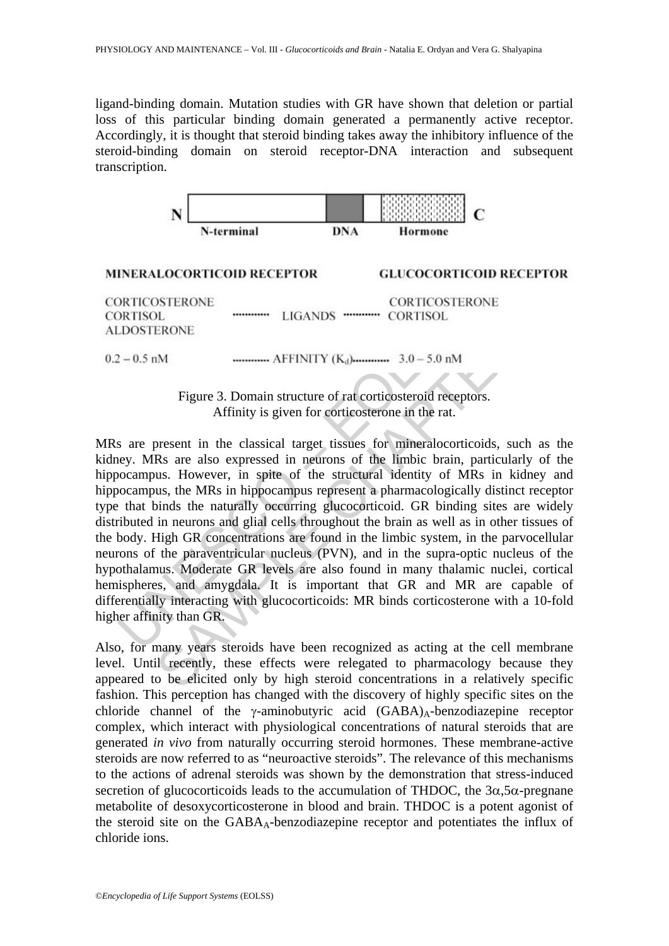ligand-binding domain. Mutation studies with GR have shown that deletion or partial loss of this particular binding domain generated a permanently active receptor. Accordingly, it is thought that steroid binding takes away the inhibitory influence of the steroid-binding domain on steroid receptor-DNA interaction and subsequent transcription.



# **MINERALOCORTICOID RECEPTOR GLUCOCORTICOID RECEPTOR**

Figure 3. Domain structure of rat corticosteroid receptors. Affinity is given for corticosterone in the rat.

UNESCO – EOLSS CORTICOSTERONE<br>
LEMONE<br>
LEMONE<br>
LERONE<br>
MA CORTISOL<br>
SERONE<br>
LERONE<br>
METRONE<br>
SERONE<br>
LERONE<br>
SERONE<br>
SERONE<br>
Trigure 3. Domain structure of rat corticosteroid receptors.<br>
Affinity is given for corticosteroid receptors.<br> MRs are present in the classical target tissues for mineralocorticoids, such as the kidney. MRs are also expressed in neurons of the limbic brain, particularly of the hippocampus. However, in spite of the structural identity of MRs in kidney and hippocampus, the MRs in hippocampus represent a pharmacologically distinct receptor type that binds the naturally occurring glucocorticoid. GR binding sites are widely distributed in neurons and glial cells throughout the brain as well as in other tissues of the body. High GR concentrations are found in the limbic system, in the parvocellular neurons of the paraventricular nucleus (PVN), and in the supra-optic nucleus of the hypothalamus. Moderate GR levels are also found in many thalamic nuclei, cortical hemispheres, and amygdala. It is important that GR and MR are capable of differentially interacting with glucocorticoids: MR binds corticosterone with a 10-fold higher affinity than GR.

Also, for many years steroids have been recognized as acting at the cell membrane level. Until recently, these effects were relegated to pharmacology because they appeared to be elicited only by high steroid concentrations in a relatively specific fashion. This perception has changed with the discovery of highly specific sites on the chloride channel of the  $\gamma$ -aminobutyric acid (GABA)<sub>A</sub>-benzodiazepine receptor complex, which interact with physiological concentrations of natural steroids that are generated *in vivo* from naturally occurring steroid hormones. These membrane-active steroids are now referred to as "neuroactive steroids". The relevance of this mechanisms to the actions of adrenal steroids was shown by the demonstration that stress-induced secretion of glucocorticoids leads to the accumulation of THDOC, the  $3\alpha$ ,  $5\alpha$ -pregnane metabolite of desoxycorticosterone in blood and brain. THDOC is a potent agonist of the steroid site on the GABAA-benzodiazepine receptor and potentiates the influx of chloride ions.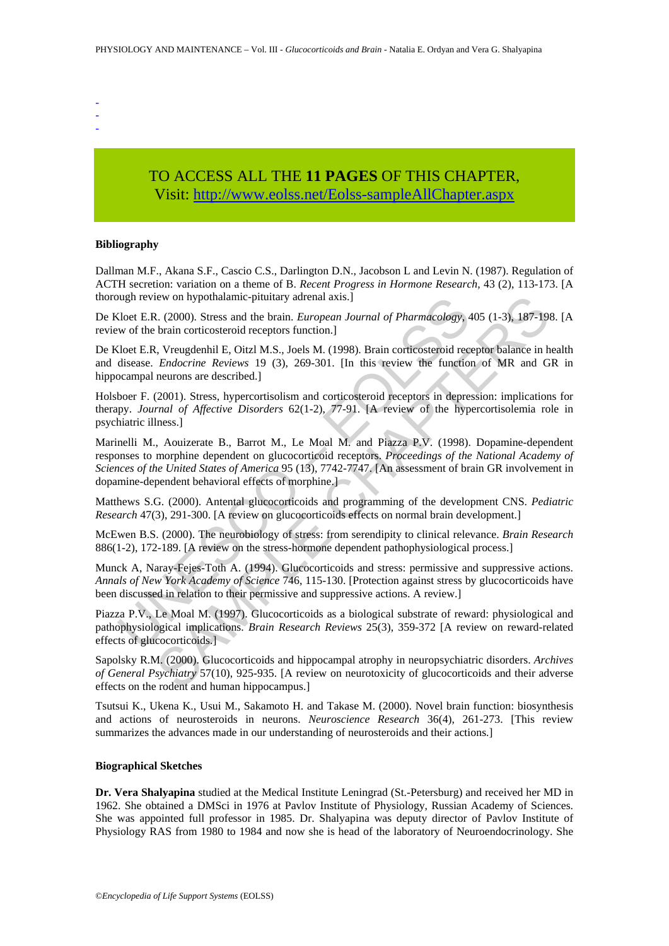- -
- -

## TO ACCESS ALL THE **11 PAGES** OF THIS CHAPTER, Visit[: http://www.eolss.net/Eolss-sampleAllChapter.aspx](https://www.eolss.net/ebooklib/sc_cart.aspx?File=E6-54-05-02)

#### **Bibliography**

Dallman M.F., Akana S.F., Cascio C.S., Darlington D.N., Jacobson L and Levin N. (1987). Regulation of ACTH secretion: variation on a theme of B. *Recent Progress in Hormone Research,* 43 (2), 113-173. [A thorough review on hypothalamic-pituitary adrenal axis.]

De Kloet E.R. (2000). Stress and the brain. *European Journal of Pharmacology,* 405 (1-3), 187-198. [A review of the brain corticosteroid receptors function.]

De Kloet E.R, Vreugdenhil E, Oitzl M.S., Joels M. (1998). Brain corticosteroid receptor balance in health and disease. *Endocrine Reviews* 19 (3), 269-301. [In this review the function of MR and GR in hippocampal neurons are described.]

Holsboer F. (2001). Stress, hypercortisolism and corticosteroid receptors in depression: implications for therapy. *Journal of Affective Disorders* 62(1-2), 77-91. [A review of the hypercortisolemia role in psychiatric illness.]

ough review on hypothalamic-pitutiary adrenal axis.]<br>
Sloct E.R. (2000). Stress and the brain. *European Journal of Pharmacology*, 4<br>
wo of the brain croticosteroid receptors function.]<br>
Sloct E.R. Vreugelenhil E. Oitzl M. iew on hypothalamic-pituitary adrenal axis.]<br>
2. (2000). Stress and the brain. *European Journal of Pharmacology*, 405 (1-3), 187-19:<br>
1. Strain corticosteroid receptors function.]<br>
1. Stress and the brain. *European Ca* Marinelli M., Aouizerate B., Barrot M., Le Moal M. and Piazza P.V. (1998). Dopamine-dependent responses to morphine dependent on glucocorticoid receptors. *Proceedings of the National Academy of Sciences of the United States of America* 95 (13), 7742-7747. [An assessment of brain GR involvement in dopamine-dependent behavioral effects of morphine.]

Matthews S.G. (2000). Antental glucocorticoids and programming of the development CNS. *Pediatric Research* 47(3), 291-300. [A review on glucocorticoids effects on normal brain development.]

McEwen B.S. (2000). The neurobiology of stress: from serendipity to clinical relevance. *Brain Research*  886(1-2), 172-189. [A review on the stress-hormone dependent pathophysiological process.]

Munck A, Naray-Fejes-Toth A. (1994). Glucocorticoids and stress: permissive and suppressive actions. *Annals of New York Academy of Science* 746, 115-130. [Protection against stress by glucocorticoids have been discussed in relation to their permissive and suppressive actions. A review.]

Piazza P.V., Le Moal M. (1997). Glucocorticoids as a biological substrate of reward: physiological and pathophysiological implications. *Brain Research Reviews* 25(3), 359-372 [A review on reward-related effects of glucocorticoids.]

Sapolsky R.M. (2000). Glucocorticoids and hippocampal atrophy in neuropsychiatric disorders. *Archives of General Psychiatry* 57(10), 925-935. [A review on neurotoxicity of glucocorticoids and their adverse effects on the rodent and human hippocampus.]

Tsutsui K., Ukena K., Usui M., Sakamoto H. and Takase M. (2000). Novel brain function: biosynthesis and actions of neurosteroids in neurons. *Neuroscience Research* 36(4), 261-273. [This review summarizes the advances made in our understanding of neurosteroids and their actions.]

#### **Biographical Sketches**

**Dr. Vera Shalyapina** studied at the Medical Institute Leningrad (St.-Petersburg) and received her MD in 1962. She obtained a DMSci in 1976 at Pavlov Institute of Physiology, Russian Academy of Sciences. She was appointed full professor in 1985. Dr. Shalyapina was deputy director of Pavlov Institute of Physiology RAS from 1980 to 1984 and now she is head of the laboratory of Neuroendocrinology. She